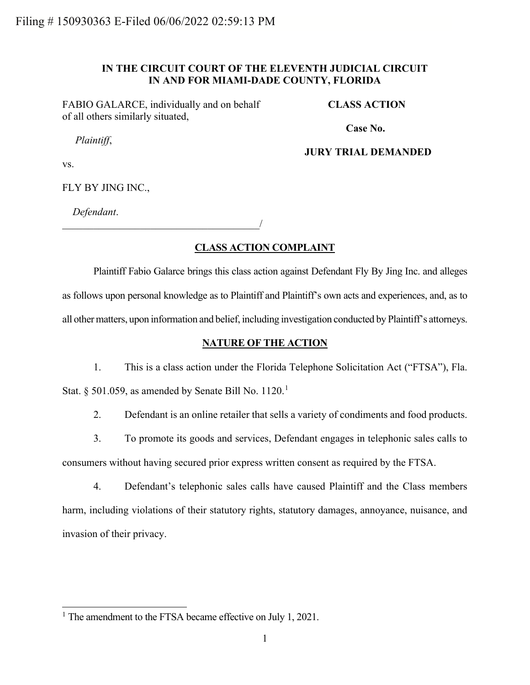# **IN THE CIRCUIT COURT OF THE ELEVENTH JUDICIAL CIRCUIT IN AND FOR MIAMI-DADE COUNTY, FLORIDA**

FABIO GALARCE, individually and on behalf of all others similarly situated,

**CLASS ACTION**

*Plaintiff*,

**Case No.** 

## **JURY TRIAL DEMANDED**

vs.

FLY BY JING INC.,

*Defendant*.

\_\_\_\_\_\_\_\_\_\_\_\_\_\_\_\_\_\_\_\_\_\_\_\_\_\_\_\_\_\_\_\_\_\_\_\_\_\_/

# **CLASS ACTION COMPLAINT**

Plaintiff Fabio Galarce brings this class action against Defendant Fly By Jing Inc. and alleges as follows upon personal knowledge as to Plaintiff and Plaintiff's own acts and experiences, and, as to all other matters, upon information and belief, including investigation conducted by Plaintiff's attorneys.

## **NATURE OF THE ACTION**

1. This is a class action under the Florida Telephone Solicitation Act ("FTSA"), Fla.

Stat. § 50[1](#page-0-0).059, as amended by Senate Bill No.  $1120.<sup>1</sup>$ 

2. Defendant is an online retailer that sells a variety of condiments and food products.

3. To promote its goods and services, Defendant engages in telephonic sales calls to consumers without having secured prior express written consent as required by the FTSA.

4. Defendant's telephonic sales calls have caused Plaintiff and the Class members harm, including violations of their statutory rights, statutory damages, annoyance, nuisance, and invasion of their privacy.

<span id="page-0-0"></span><sup>&</sup>lt;sup>1</sup> The amendment to the FTSA became effective on July 1, 2021.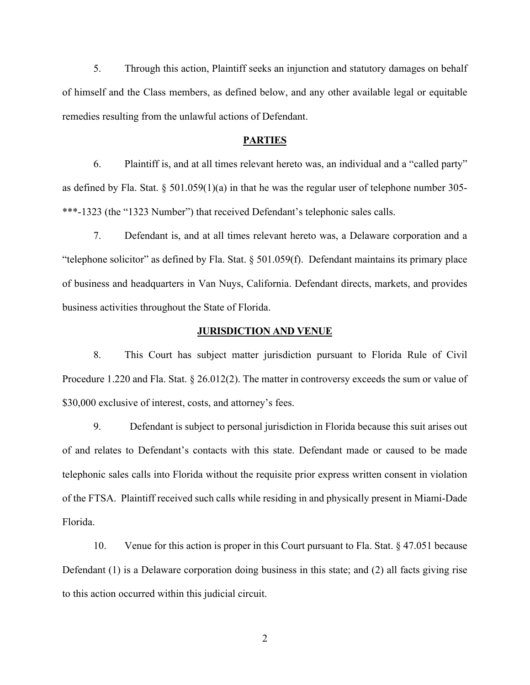5. Through this action, Plaintiff seeks an injunction and statutory damages on behalf of himself and the Class members, as defined below, and any other available legal or equitable remedies resulting from the unlawful actions of Defendant.

### **PARTIES**

6. Plaintiff is, and at all times relevant hereto was, an individual and a "called party" as defined by Fla. Stat. § 501.059(1)(a) in that he was the regular user of telephone number 305- \*\*\*-1323 (the "1323 Number") that received Defendant's telephonic sales calls.

7. Defendant is, and at all times relevant hereto was, a Delaware corporation and a "telephone solicitor" as defined by Fla. Stat. § 501.059(f). Defendant maintains its primary place of business and headquarters in Van Nuys, California. Defendant directs, markets, and provides business activities throughout the State of Florida.

### **JURISDICTION AND VENUE**

8. This Court has subject matter jurisdiction pursuant to Florida Rule of Civil Procedure 1.220 and Fla. Stat. § 26.012(2). The matter in controversy exceeds the sum or value of \$30,000 exclusive of interest, costs, and attorney's fees.

9. Defendant is subject to personal jurisdiction in Florida because this suit arises out of and relates to Defendant's contacts with this state. Defendant made or caused to be made telephonic sales calls into Florida without the requisite prior express written consent in violation of the FTSA. Plaintiff received such calls while residing in and physically present in Miami-Dade Florida.

10. Venue for this action is proper in this Court pursuant to Fla. Stat. § 47.051 because Defendant (1) is a Delaware corporation doing business in this state; and (2) all facts giving rise to this action occurred within this judicial circuit.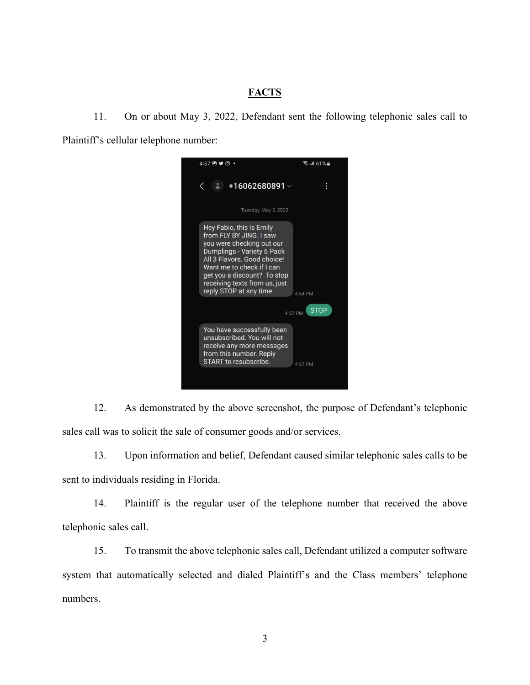# **FACTS**

11. On or about May 3, 2022, Defendant sent the following telephonic sales call to Plaintiff's cellular telephone number:



12. As demonstrated by the above screenshot, the purpose of Defendant's telephonic sales call was to solicit the sale of consumer goods and/or services.

13. Upon information and belief, Defendant caused similar telephonic sales calls to be sent to individuals residing in Florida.

14. Plaintiff is the regular user of the telephone number that received the above telephonic sales call.

15. To transmit the above telephonic sales call, Defendant utilized a computer software system that automatically selected and dialed Plaintiff's and the Class members' telephone numbers.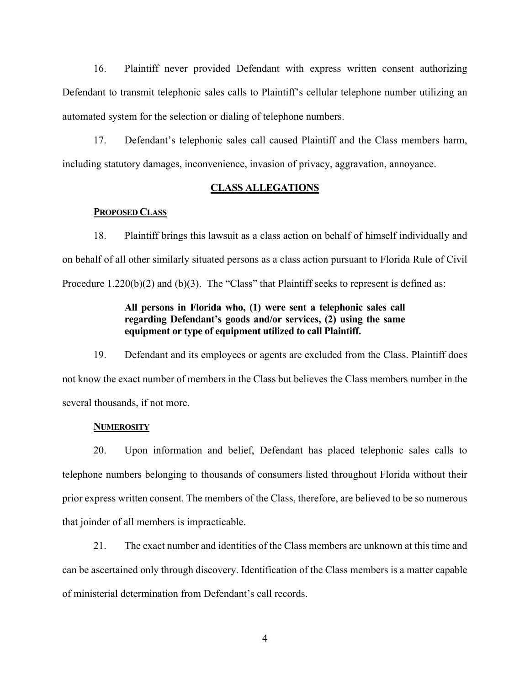16. Plaintiff never provided Defendant with express written consent authorizing Defendant to transmit telephonic sales calls to Plaintiff's cellular telephone number utilizing an automated system for the selection or dialing of telephone numbers.

17. Defendant's telephonic sales call caused Plaintiff and the Class members harm, including statutory damages, inconvenience, invasion of privacy, aggravation, annoyance.

## **CLASS ALLEGATIONS**

### **PROPOSED CLASS**

18. Plaintiff brings this lawsuit as a class action on behalf of himself individually and on behalf of all other similarly situated persons as a class action pursuant to Florida Rule of Civil Procedure 1.220(b)(2) and (b)(3). The "Class" that Plaintiff seeks to represent is defined as:

# **All persons in Florida who, (1) were sent a telephonic sales call regarding Defendant's goods and/or services, (2) using the same equipment or type of equipment utilized to call Plaintiff.**

19. Defendant and its employees or agents are excluded from the Class. Plaintiff does not know the exact number of members in the Class but believes the Class members number in the several thousands, if not more.

### **NUMEROSITY**

20. Upon information and belief, Defendant has placed telephonic sales calls to telephone numbers belonging to thousands of consumers listed throughout Florida without their prior express written consent. The members of the Class, therefore, are believed to be so numerous that joinder of all members is impracticable.

21. The exact number and identities of the Class members are unknown at this time and can be ascertained only through discovery. Identification of the Class members is a matter capable of ministerial determination from Defendant's call records.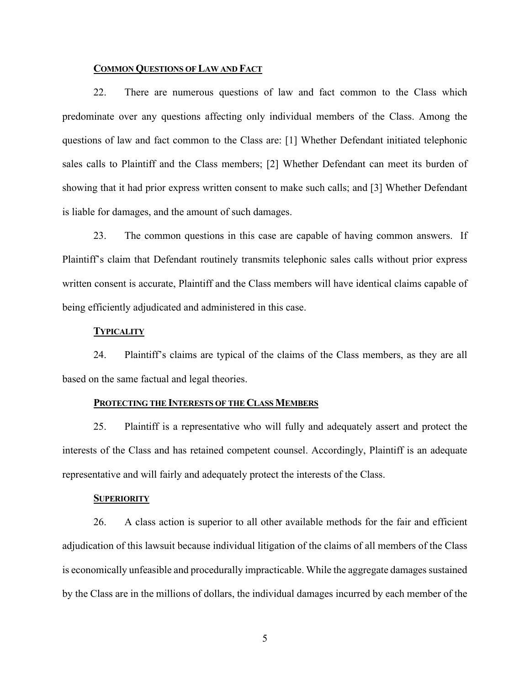## **COMMON QUESTIONS OF LAW AND FACT**

22. There are numerous questions of law and fact common to the Class which predominate over any questions affecting only individual members of the Class. Among the questions of law and fact common to the Class are: [1] Whether Defendant initiated telephonic sales calls to Plaintiff and the Class members; [2] Whether Defendant can meet its burden of showing that it had prior express written consent to make such calls; and [3] Whether Defendant is liable for damages, and the amount of such damages.

23. The common questions in this case are capable of having common answers. If Plaintiff's claim that Defendant routinely transmits telephonic sales calls without prior express written consent is accurate, Plaintiff and the Class members will have identical claims capable of being efficiently adjudicated and administered in this case.

### **TYPICALITY**

24. Plaintiff's claims are typical of the claims of the Class members, as they are all based on the same factual and legal theories.

#### **PROTECTING THE INTERESTS OF THE CLASS MEMBERS**

25. Plaintiff is a representative who will fully and adequately assert and protect the interests of the Class and has retained competent counsel. Accordingly, Plaintiff is an adequate representative and will fairly and adequately protect the interests of the Class.

### **SUPERIORITY**

26. A class action is superior to all other available methods for the fair and efficient adjudication of this lawsuit because individual litigation of the claims of all members of the Class is economically unfeasible and procedurally impracticable. While the aggregate damages sustained by the Class are in the millions of dollars, the individual damages incurred by each member of the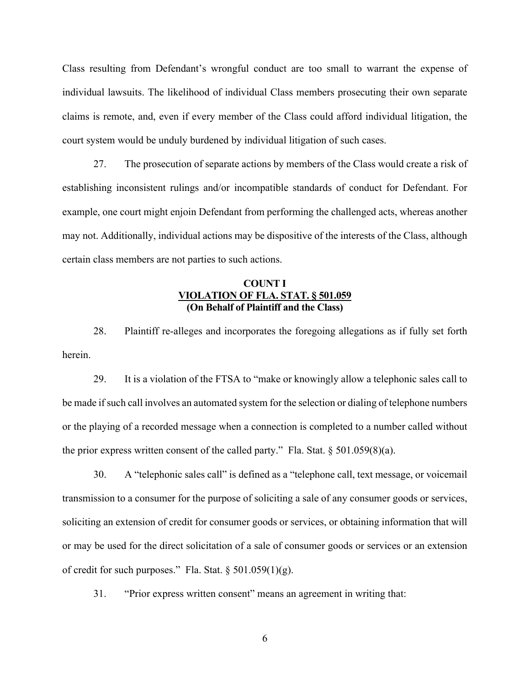Class resulting from Defendant's wrongful conduct are too small to warrant the expense of individual lawsuits. The likelihood of individual Class members prosecuting their own separate claims is remote, and, even if every member of the Class could afford individual litigation, the court system would be unduly burdened by individual litigation of such cases.

27. The prosecution of separate actions by members of the Class would create a risk of establishing inconsistent rulings and/or incompatible standards of conduct for Defendant. For example, one court might enjoin Defendant from performing the challenged acts, whereas another may not. Additionally, individual actions may be dispositive of the interests of the Class, although certain class members are not parties to such actions.

## **COUNT I VIOLATION OF FLA. STAT. § 501.059 (On Behalf of Plaintiff and the Class)**

28. Plaintiff re-alleges and incorporates the foregoing allegations as if fully set forth herein.

29. It is a violation of the FTSA to "make or knowingly allow a telephonic sales call to be made if such call involves an automated system for the selection or dialing of telephone numbers or the playing of a recorded message when a connection is completed to a number called without the prior express written consent of the called party." Fla. Stat.  $\S 501.059(8)(a)$ .

30. A "telephonic sales call" is defined as a "telephone call, text message, or voicemail transmission to a consumer for the purpose of soliciting a sale of any consumer goods or services, soliciting an extension of credit for consumer goods or services, or obtaining information that will or may be used for the direct solicitation of a sale of consumer goods or services or an extension of credit for such purposes." Fla. Stat.  $\S 501.059(1)(g)$ .

31. "Prior express written consent" means an agreement in writing that: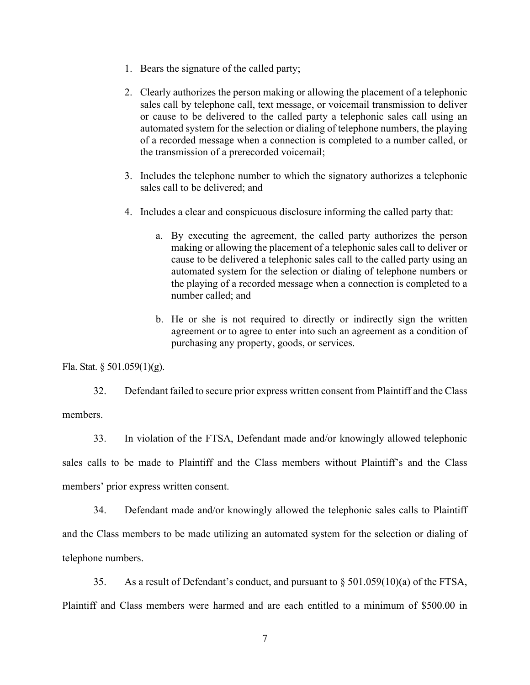- 1. Bears the signature of the called party;
- 2. Clearly authorizes the person making or allowing the placement of a telephonic sales call by telephone call, text message, or voicemail transmission to deliver or cause to be delivered to the called party a telephonic sales call using an automated system for the selection or dialing of telephone numbers, the playing of a recorded message when a connection is completed to a number called, or the transmission of a prerecorded voicemail;
- 3. Includes the telephone number to which the signatory authorizes a telephonic sales call to be delivered; and
- 4. Includes a clear and conspicuous disclosure informing the called party that:
	- a. By executing the agreement, the called party authorizes the person making or allowing the placement of a telephonic sales call to deliver or cause to be delivered a telephonic sales call to the called party using an automated system for the selection or dialing of telephone numbers or the playing of a recorded message when a connection is completed to a number called; and
	- b. He or she is not required to directly or indirectly sign the written agreement or to agree to enter into such an agreement as a condition of purchasing any property, goods, or services.

Fla. Stat. § 501.059(1)(g).

32. Defendant failed to secure prior express written consent from Plaintiff and the Class members.

33. In violation of the FTSA, Defendant made and/or knowingly allowed telephonic sales calls to be made to Plaintiff and the Class members without Plaintiff's and the Class members' prior express written consent.

34. Defendant made and/or knowingly allowed the telephonic sales calls to Plaintiff and the Class members to be made utilizing an automated system for the selection or dialing of telephone numbers.

35. As a result of Defendant's conduct, and pursuant to  $\S 501.059(10)(a)$  of the FTSA, Plaintiff and Class members were harmed and are each entitled to a minimum of \$500.00 in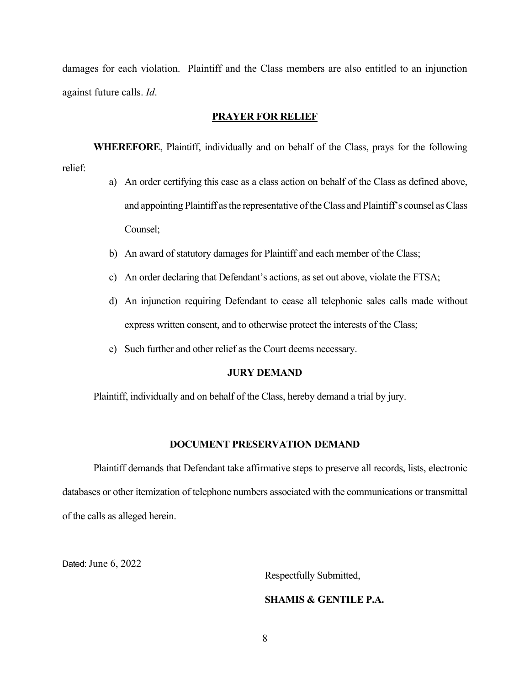damages for each violation. Plaintiff and the Class members are also entitled to an injunction against future calls. *Id*.

### **PRAYER FOR RELIEF**

**WHEREFORE**, Plaintiff, individually and on behalf of the Class, prays for the following relief:

- a) An order certifying this case as a class action on behalf of the Class as defined above, and appointing Plaintiff as the representative of the Class and Plaintiff's counsel as Class Counsel;
- b) An award of statutory damages for Plaintiff and each member of the Class;
- c) An order declaring that Defendant's actions, as set out above, violate the FTSA;
- d) An injunction requiring Defendant to cease all telephonic sales calls made without express written consent, and to otherwise protect the interests of the Class;
- e) Such further and other relief as the Court deems necessary.

### **JURY DEMAND**

Plaintiff, individually and on behalf of the Class, hereby demand a trial by jury.

## **DOCUMENT PRESERVATION DEMAND**

Plaintiff demands that Defendant take affirmative steps to preserve all records, lists, electronic databases or other itemization of telephone numbers associated with the communications or transmittal of the calls as alleged herein.

Dated: June 6, 2022

Respectfully Submitted,

# **SHAMIS & GENTILE P.A.**